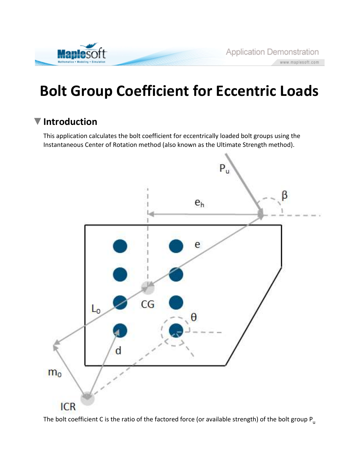

# Bolt Group Coefficient for Eccentric Loads

## ▼ Introduction

This application calculates the bolt coefficient for eccentrically loaded bolt groups using the Instantaneous Center of Rotation method (also known as the Ultimate Strength method).



The bolt coefficient C is the ratio of the factored force (or available strength) of the bolt group  $P_{u}$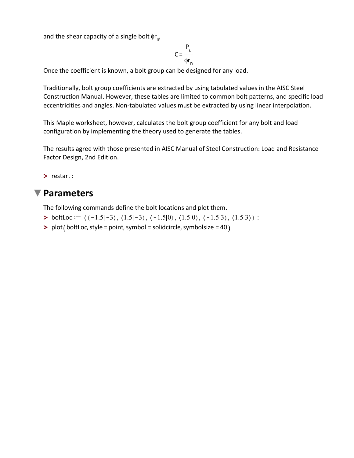and the shear capacity of a single bolt  $\phi_{\mathsf{r}_{\mathsf{n}'}}$ 

$$
C = \frac{P_u}{\phi r_n}
$$

Once the coefficient is known, a bolt group can be designed for any load.

Traditionally, bolt group coefficients are extracted by using tabulated values in the AISC Steel Construction Manual. However, these tables are limited to common bolt patterns, and specific load eccentricities and angles. Non-tabulated values must be extracted by using linear interpolation.

This Maple worksheet, however, calculates the bolt group coefficient for any bolt and load configuration by implementing the theory used to generate the tables.

The results agree with those presented in AISC Manual of Steel Construction: Load and Resistance Factor Design, 2nd Edition.

> restart :

#### ▼ Parameters

The following commands define the bolt locations and plot them.

- > boltLoc ==  $\langle \langle -1.5| -3 \rangle, \langle 1.5| -3 \rangle, \langle -1.5| 0 \rangle, \langle 1.5| 0 \rangle, \langle -1.5| 3 \rangle, \langle 1.5| 3 \rangle$  :
- > plot ( boltLoc, style = point, symbol = solidcircle, symbolsize = 40)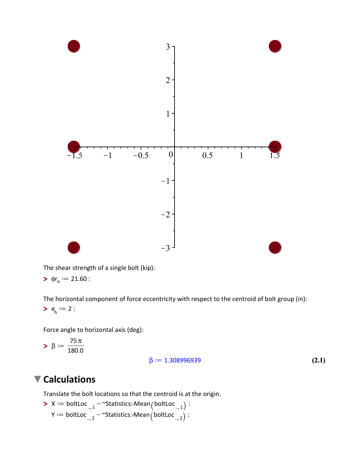

The shear strength of a single bolt (kip):

$$
\blacktriangleright \ \ \varphi r_{n} := 21.60:
$$

 $>e_h^* := 2$  : The horizontal component of force eccentricity with respect to the centroid of bolt group (in):

Force angle to horizontal axis (deg):

$$
>\,\beta:=\frac{75\,\pi}{180.0}
$$

$$
\beta := 1.308996939 \tag{2.1}
$$

## **V** Calculations

Translate the bolt locations so that the centroid is at the origin.

$$
\begin{aligned}\n &\times \mathsf{X} := \mathsf{boltLoc}_{.,1} - \mathsf{``Statistics:--Mean}\left(\mathsf{boltLoc}_{.,1}\right) : \\
 &\mathsf{Y} := \mathsf{boltLoc}_{.,2} - \mathsf{``Statistics:--Mean}\left(\mathsf{boltLoc}_{.,2}\right) : \n\end{aligned}
$$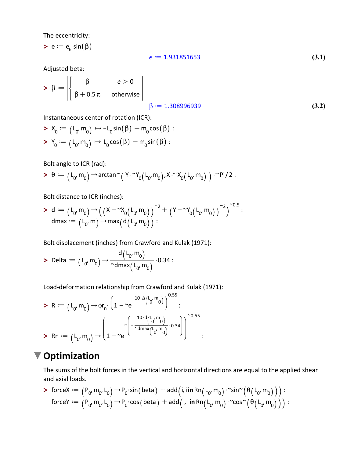The eccentricity:

 $\blacktriangleright$  e  $:=$  e<sub>h</sub> sin $(\beta)$ 

$$
e := 1.931851653 \tag{3.1}
$$

Adjusted beta:

$$
>\beta := \begin{vmatrix} \beta & e > 0 \\ \beta + 0.5\pi & \text{otherwise} \end{vmatrix}
$$
\n
$$
\beta := 1.308996939 \tag{3.2}
$$

Instantaneous center of rotation (ICR):

$$
X_0 := (L_0 \cdot m_0) \mapsto -L_0 \sin(\beta) - m_0 \cos(\beta) :
$$
  

$$
Y_0 := (L_0 \cdot m_0) \mapsto L_0 \cos(\beta) - m_0 \sin(\beta) :
$$

Bolt angle to ICR (rad):

$$
> \theta := \big( L_{0'} \, m_0 \big) \mathop{\rightarrow} \arctan^\sim \! \big( \, Y \mathop{\sim}^{\mathsf{v}} \! Y_0 \big( \, L_{0'} \, m_0 \big) \, , X \mathop{\sim}^{\mathsf{v}} \! X_0 \big( \, L_{0'} \, m_0 \big) \, \, \big) \mathop{\sim}^{\mathsf{v}} \! \mathsf{Pi} \big/ \, 2:
$$

Bolt distance to ICR (inches):

$$
\begin{array}{l} \textbf{\textit{>}}\;\;d:=\left(L_{0'}\,m_{0}\right) \displaystyle{\rightarrow} \left(\left(X-{}^{\sim}\!X_{0}\!\left(L_{0'}\,m_{0}\right)\right)^{-2}+\left(Y-{}^{\sim}\!Y_{0}\!\left(L_{0'}\,m_{0}\right)\right)^{-2}\right)^{-0.5}: \\ \text{dmax}:=\left(\,L_{0'}\,m\right) \displaystyle{\rightarrow} \text{max}\big(\,d\!\left(\,L_{0'}\,m_{0}\right)\,\big): \end{array}
$$

Bolt displacement (inches) from Crawford and Kulak (1971):

> Delta  $:=$   $(L_0, m_0) \rightarrow L$  $d(L_0, m_0)$  $\sim$ dmax $(L_0, m_0)$  $0.34:$ 

Load-deformation relationship from Crawford and Kulak (1971):

$$
\begin{aligned}\n> R &:= \left( L_{0'} \, m_{0} \right) \rightarrow \varphi r_{n} \cdot \left( 1 - \, ^{-10 \cdot \Delta} \left( L_{0'} \, ^{m} \right) \right)^{0.55} : \\
> Rn &:= \left( L_{0'} \, m_{0} \right) \rightarrow \left( 1 - \, ^{-e} \left( - \frac{^{10 \cdot d} \left( L_{0'} \, ^{m} \right)}{^{-\Delta} \text{dmax} \left( L_{0'} \, ^{m} \right)} \cdot 0.34 \right) \right)^{-0.55} : \\
&= \left( L_{0'} \, m_{0} \right) \rightarrow \left( 1 - \, ^{-e} \left( L_{0'} \, ^{m} \left( L_{0'} \, ^{m} \right) \right)^{-0.55} \right) \end{aligned}
$$

### ▼ Optimization

The sums of the bolt forces in the vertical and horizontal directions are equal to the applied shear and axial loads.

$$
\text{8:} \begin{split} \text{8:} \text{8:} \begin{array}{l} \text{8:} \\ \text{9:} \end{array} \begin{array}{l} \text{9:} \\ \text{10:} \end{array} \begin{array}{l} \text{9:} \\ \text{11:} \end{array} \begin{array}{l} \text{9:} \\ \text{11:} \end{array} \begin{array}{l} \text{9:} \\ \text{11:} \end{array} \begin{array}{l} \text{9:} \\ \text{11:} \end{array} \begin{array}{l} \text{11:} \\ \text{12:} \end{array} \begin{array}{l} \text{13:} \\ \text{14:} \end{array} \begin{array}{l} \text{15:} \\ \text{16:} \end{array} \begin{array}{l} \text{16:} \\ \text{17:} \end{array} \begin{array}{l} \text{16:} \\ \text{18:} \end{array} \begin{array}{l} \text{17:} \\ \text{18:} \end{array} \begin{array}{l} \text{18:} \\ \text{19:} \end{array} \begin{array}{l} \text{19:} \\ \text{10:} \end{array} \begin{array}{l} \text{10:} \\ \text{11:} \end{array} \begin{array}{l} \text{18:} \\ \text{19:} \end{array} \begin{array}{l} \text{19:} \\ \text{10:} \end{array} \begin{array}{l} \text{10:} \\ \text{11:} \end{array} \begin{array}{l} \text{18:} \\ \text{10:} \end{array} \begin{array}{l} \text{16:} \\ \text{17:} \end{array} \begin{array}{l} \text{18:} \\ \text{19:} \end{array} \begin{array}{l} \text{19:} \\ \text{10:} \end{array} \begin{array}{l} \text{19:} \\ \text{10:} \end{array} \begin{array}{l} \text{10:} \\ \text{11:} \end{array} \begin{array}{l} \text{18:} \\ \text{19:} \end{array} \begin{array}{l} \text{19:} \\ \text{10:} \end{array} \begin{array}{l} \text{10:} \\ \text{11:} \end{array} \begin{array}{l} \text{18:} \\
$$